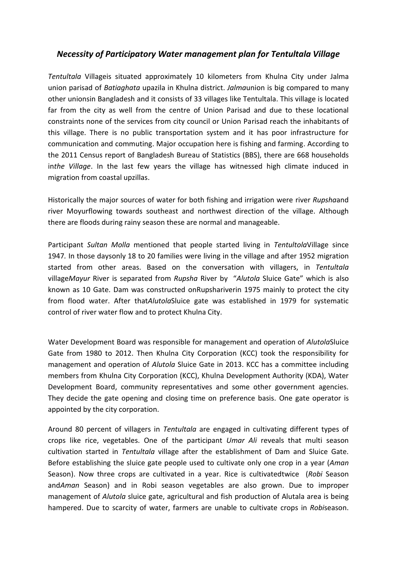## *Necessity of Participatory Water management plan for Tentultala Village*

*Tentultala* Villageis situated approximately 10 kilometers from Khulna City under Jalma union parisad of *Batiaghata* upazila in Khulna district. *Jalma*union is big compared to many other unionsin Bangladesh and it consists of 33 villages like Tentultala. This village is located far from the city as well from the centre of Union Parisad and due to these locational constraints none of the services from city council or Union Parisad reach the inhabitants of this village. There is no public transportation system and it has poor infrastructure for communication and commuting. Major occupation here is fishing and farming. According to the 2011 Census report of Bangladesh Bureau of Statistics (BBS), there are 668 households in*the Village*. In the last few years the village has witnessed high climate induced in migration from coastal upzillas.

Historically the major sources of water for both fishing and irrigation were river *Rupsha*and river Moyurflowing towards southeast and northwest direction of the village. Although there are floods during rainy season these are normal and manageable.

Participant *Sultan Molla* mentioned that people started living in *Tentultola*Village since 1947*.* In those daysonly 18 to 20 families were living in the village and after 1952 migration started from other areas. Based on the conversation with villagers, in *Tentultala* village*Mayur* River is separated from *Rupsha* River by "*Alutola* Sluice Gate" which is also known as 10 Gate. Dam was constructed onRupshariverin 1975 mainly to protect the city from flood water. After that*Alutola*Sluice gate was established in 1979 for systematic control of river water flow and to protect Khulna City.

Water Development Board was responsible for management and operation of *Alutola*Sluice Gate from 1980 to 2012. Then Khulna City Corporation (KCC) took the responsibility for management and operation of *Alutola* Sluice Gate in 2013. KCC has a committee including members from Khulna City Corporation (KCC), Khulna Development Authority (KDA), Water Development Board, community representatives and some other government agencies. They decide the gate opening and closing time on preference basis. One gate operator is appointed by the city corporation.

Around 80 percent of villagers in *Tentultala* are engaged in cultivating different types of crops like rice, vegetables. One of the participant *Umar Ali* reveals that multi season cultivation started in *Tentultala* village after the establishment of Dam and Sluice Gate. Before establishing the sluice gate people used to cultivate only one crop in a year (*Aman* Season). Now three crops are cultivated in a year. Rice is cultivatedtwice (*Robi* Season and*Aman* Season) and in Robi season vegetables are also grown. Due to improper management of *Alutola* sluice gate, agricultural and fish production of Alutala area is being hampered. Due to scarcity of water, farmers are unable to cultivate crops in *Robi*season.